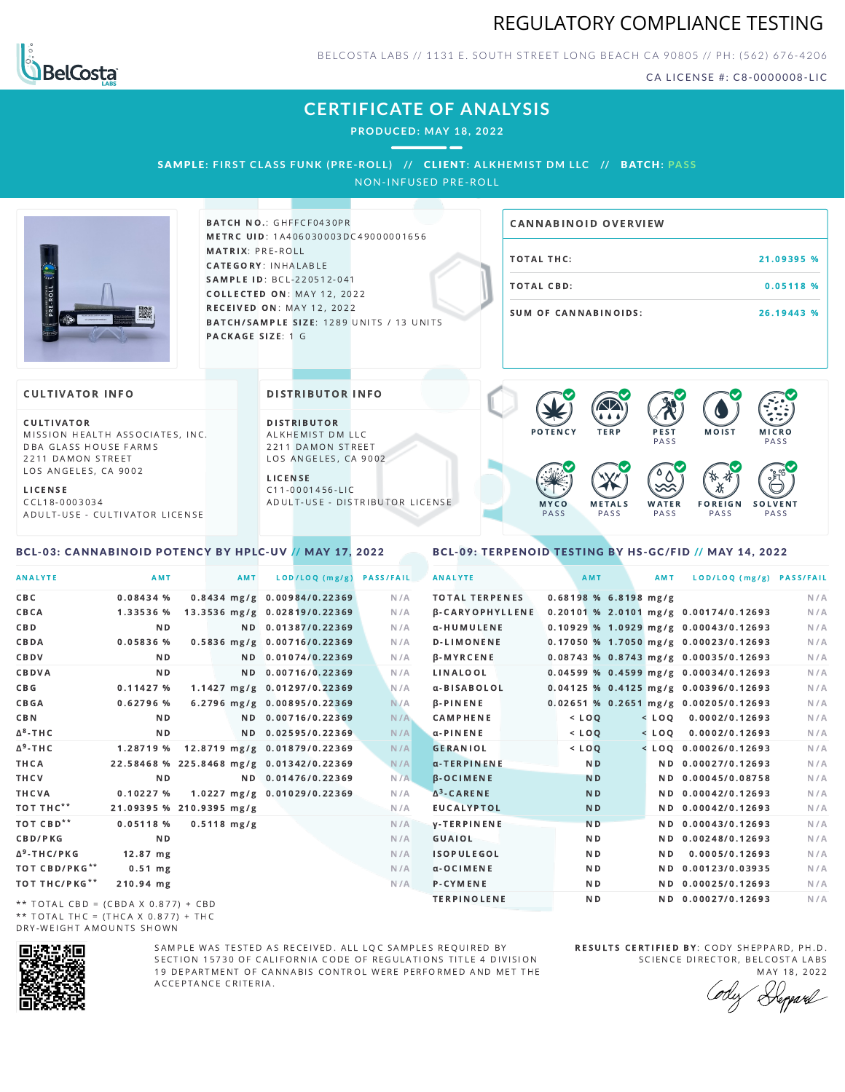



BELCOSTA LABS // 1131 E. SOUTH STREET LONG BEACH C A 90805 // PH: (562) 676-4206

CA LICENSE #: C8-0000008-LIC

MOIST MICRO

F O R E I G N **PASS** 

祅

**PASS** 

**SOLVENT PASS** 

# **CERTIFICATE OF ANALYSIS**

**PRODUCED: MAY 18, 2022**

### SAMPLE: FIRST CLASS FUNK (PRE-ROLL) // CLIENT: ALKHEMIST DM LLC // BATCH: PASS

NON-INFUSED PRE-ROLL



BATCH NO.: GHFFCF0430PR METRC UID: 1A406030003DC49000001656 MATRIX: PRE-ROLL CATEGORY: INHALABLE SAMPLE ID: BCL-220512-041 COLLECTED ON: MAY 12, 2022 **RECEIVED ON: MAY 12, 2022** BATCH/SAMPLE SIZE: 1289 UNITS / 13 UNITS PACKAGE SIZE: 1 G

DISTRIBUTOR INFO

D I STRIBUTOR ALKHEMIST DM LLC 2211 DAMON STREET LOS ANGELES, CA 9002

A D U L T - U S E - D I STRI B U T O R LICENSE

L I C E N S E  $C$  11-0001456-LIC

# TOTAL THC: 21.09395 % TOTAL CBD: 0.05118 % SUM OF CANNABINOIDS: 26.19443 % CANNABINOID OVERVIEW

**PFST PASS** 

 $\bullet$  60 60 60 60

**WATER** PA S S

### **CULTIVATOR INFO**

CULTIVATOR MISSION HEALTH ASSOCIATES, INC. DBA GLASS HOUSE FARMS 2211 DAMON STREET LOS ANGELES, CA 9002

L I C E N S E C C L 1 8 - 0 0 0 3 0 3 4 A D U L T - U S E - C U L T I V A T O R L I CENSE

### <span id="page-0-0"></span>BCL-03: CANNABINOID POTENCY BY HPLC-UV // MAY 17, 2022

<span id="page-0-1"></span>BCL-09: TERPENOID TESTING BY HS-GC/FID // MAY 14, 2022

M F T A LS PA S S

M Y C O PA S S

| <b>ANALYTE</b>                                                                                                                                                                                                                                                                                                                    | AMT                      |                       | AMT | LOD/LOQ (mg/g)                           | <b>PASS/FAIL</b> | <b>ANALYTE</b>         | AMT            | AMT                     | LOD/LOQ (mg/g) PASS/FAIL                |     |
|-----------------------------------------------------------------------------------------------------------------------------------------------------------------------------------------------------------------------------------------------------------------------------------------------------------------------------------|--------------------------|-----------------------|-----|------------------------------------------|------------------|------------------------|----------------|-------------------------|-----------------------------------------|-----|
| CBC                                                                                                                                                                                                                                                                                                                               | 0.08434%                 |                       |     | 0.8434 mg/g 0.00984/0.22369              | N/A              | <b>TOTAL TERPENES</b>  |                | $0.68198$ % 6.8198 mg/g |                                         | N/A |
| CBCA                                                                                                                                                                                                                                                                                                                              |                          |                       |     | 1.33536 % 13.3536 mg/g 0.02819/0.22369   | N/A              | <b>B-CARYOPHYLLENE</b> |                |                         | 0.20101 % 2.0101 mg/g 0.00174/0.12693   | N/A |
| CBD                                                                                                                                                                                                                                                                                                                               | N <sub>D</sub>           |                       |     | ND 0.01387/0.22369                       | N/A              | α-HUMULENE             |                |                         | $0.10929$ % 1.0929 mg/g 0.00043/0.12693 | N/A |
| CBDA                                                                                                                                                                                                                                                                                                                              | $0.05836$ %              |                       |     | 0.5836 mg/g 0.00716/0.22369              | N/A              | <b>D-LIMONENE</b>      |                |                         | 0.17050 % 1.7050 mg/g 0.00023/0.12693   | N/A |
| CBDV                                                                                                                                                                                                                                                                                                                              | N D                      |                       |     | ND 0.01074/0.22369                       | N/A              | <b>B-MYRCENE</b>       |                |                         | 0.08743 % 0.8743 mg/g 0.00035/0.12693   | N/A |
| CBDVA                                                                                                                                                                                                                                                                                                                             | N <sub>D</sub>           |                       |     | ND 0.00716/0.22369                       | N/A              | LINALOOL               |                |                         | $0.04599$ % 0.4599 mg/g 0.00034/0.12693 | N/A |
| CBG                                                                                                                                                                                                                                                                                                                               | 0.11427%                 |                       |     | 1.1427 mg/g 0.01297/0.22369              | N/A              | α-BISABOLOL            |                |                         | 0.04125 % 0.4125 mg/g 0.00396/0.12693   | N/A |
| CBGA                                                                                                                                                                                                                                                                                                                              | $0.62796$ %              |                       |     | 6.2796 mg/g 0.00895/0.22369              | N/A              | $\beta$ -PINENE        |                |                         | $0.02651$ % 0.2651 mg/g 0.00205/0.12693 | N/A |
| <b>CBN</b>                                                                                                                                                                                                                                                                                                                        | N D                      |                       |     | ND 0.00716/0.22369                       | N/A              | <b>CAMPHENE</b>        | $<$ LOQ        |                         | $<$ LOQ 0.0002/0.12693                  | N/A |
| ∆ <sup>8</sup> -THC                                                                                                                                                                                                                                                                                                               | ND.                      |                       |     | ND 0.02595/0.22369                       | N/A              | α-PINENE               | $<$ $LOQ$      |                         | $<$ LOQ 0.0002/0.12693                  | N/A |
| Δ <sup>9</sup> -ΤΗ C                                                                                                                                                                                                                                                                                                              |                          |                       |     | 1.28719 % 12.8719 mg/g 0.01879/0.22369   | N/A              | <b>GERANIOL</b>        | $<$ LOQ        |                         | $<$ LOO 0.00026/0.12693                 | N/A |
| THCA                                                                                                                                                                                                                                                                                                                              |                          |                       |     | 22.58468 % 225.8468 mg/g 0.01342/0.22369 | N/A              | $\alpha$ -TERPINENE    | N <sub>D</sub> |                         | ND 0.00027/0.12693                      | N/A |
| THCV                                                                                                                                                                                                                                                                                                                              | N D                      |                       |     | ND 0.01476/0.22369                       | N/A              | $\beta$ -OCIMENE       | N <sub>D</sub> |                         | ND 0.00045/0.08758                      | N/A |
| THCVA                                                                                                                                                                                                                                                                                                                             | 0.10227%                 |                       |     | 1.0227 mg/g 0.01029/0.22369              | N/A              | $\Delta^3$ -CARENE     | N <sub>D</sub> |                         | ND 0.00042/0.12693                      | N/A |
| тот тнс**                                                                                                                                                                                                                                                                                                                         | 21.09395 % 210.9395 mg/g |                       |     |                                          | N/A              | <b>EUCALYPTOL</b>      | N <sub>D</sub> |                         | ND 0.00042/0.12693                      | N/A |
| ТОТ СВD**                                                                                                                                                                                                                                                                                                                         | 0.05118 %                | $0.5118 \text{ mg/g}$ |     |                                          | N/A              | <b>V-TERPINENE</b>     | <b>ND</b>      |                         | ND 0.00043/0.12693                      | N/A |
| CBD/PKG                                                                                                                                                                                                                                                                                                                           | N D                      |                       |     |                                          | N/A              | GUAIOL                 | N D            |                         | ND 0.00248/0.12693                      | N/A |
| ∆ <sup>9</sup> -THC/PKG                                                                                                                                                                                                                                                                                                           | $12.87$ mg               |                       |     |                                          | N/A              | <b>ISOPULEGOL</b>      | ND.            | ND.                     | 0.0005/0.12693                          | N/A |
| ТОТ СВD/РКG**                                                                                                                                                                                                                                                                                                                     | $0.51$ mg                |                       |     |                                          | N/A              | $\alpha$ -OCIMENE      | ND.            |                         | ND 0.00123/0.03935                      | N/A |
| ТОТ ТНС/РКG**                                                                                                                                                                                                                                                                                                                     | $210.94$ mg              |                       |     |                                          | N/A              | P-CYMENE               | ND.            |                         | ND 0.00025/0.12693                      | N/A |
| $\mathcal{L}$ , and $\mathcal{L}$ , $\mathcal{L}$ , $\mathcal{L}$ , $\mathcal{L}$ , $\mathcal{L}$ , $\mathcal{L}$ , $\mathcal{L}$ , $\mathcal{L}$ , $\mathcal{L}$ , $\mathcal{L}$ , $\mathcal{L}$ , $\mathcal{L}$ , $\mathcal{L}$ , $\mathcal{L}$ , $\mathcal{L}$ , $\mathcal{L}$ , $\mathcal{L}$ , $\mathcal{L}$ , $\mathcal{L}$ |                          |                       |     |                                          |                  | <b>TERPINOLENE</b>     | ND.            |                         | ND 0.00027/0.12693                      | N/A |

\*\* TOTAL CBD =  $(CBDA X 0.877) + CBD$ \*\* TOTAL THC = (THCA X  $0.877$ ) + THC DRY-WEIGHT AMOUNTS SHOWN



SAMPLE WAS TESTED AS RECEIVED. ALL LOC SAMPLES REQUIRED BY SECTION 15730 OF CALIFORNIA CODE OF REGULATIONS TITLE 4 DIVISION 19 DEPARTMENT OF CANNABIS CONTROL WERE PERFORMED AND MET THE A C C E P T A N C E C R I T E R I A.

RESULTS CERTIFIED BY: CODY SHEPPARD, PH.D. SCIENCE DIRECTOR, BELCOSTA LABS

MAY 18, 2022 Heppard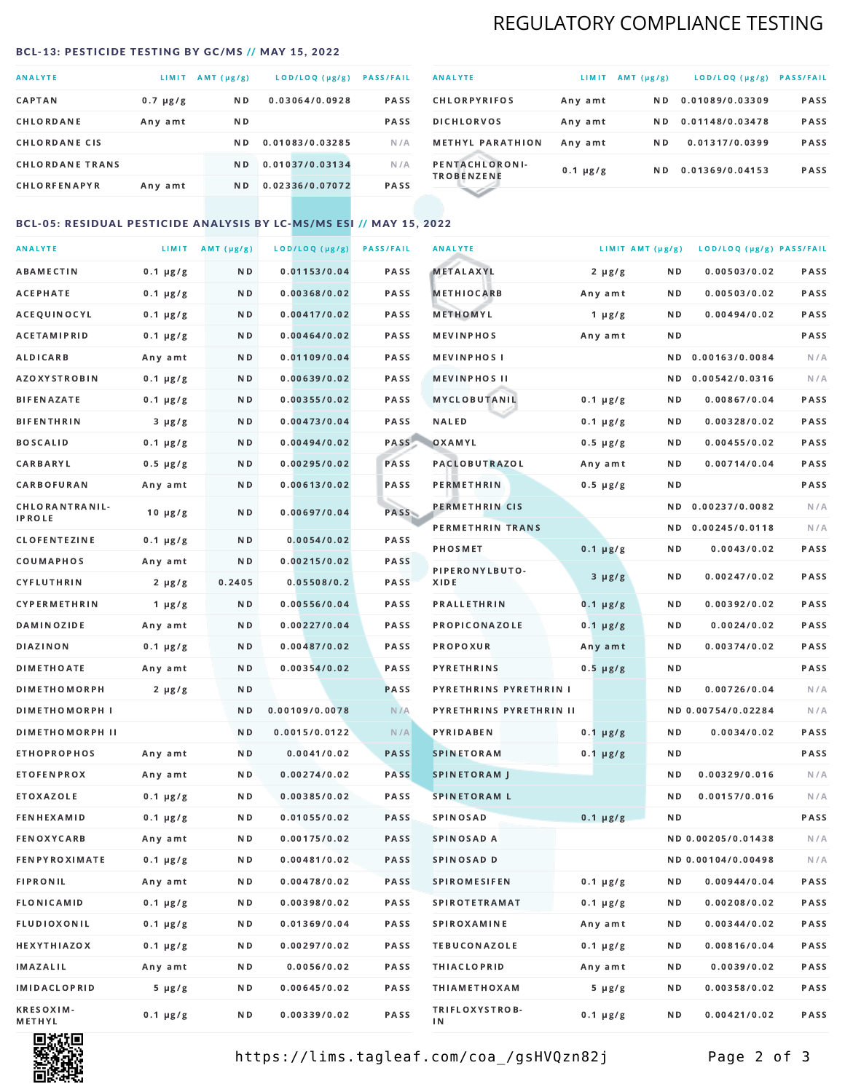# REGULATORY COMPLIANCE TESTING

### <span id="page-1-0"></span>BCL-13: PESTICIDE TESTING BY GC/MS // MAY 15, 2022

| <b>ANALYTE</b>         | LIMIT         | AMT (µg/g)     | LOD/LOQ (µg/g)  | <b>PASS/FAIL</b> |
|------------------------|---------------|----------------|-----------------|------------------|
| <b>CAPTAN</b>          | $0.7 \mu g/g$ | N <sub>D</sub> | 0.03064/0.0928  | <b>PASS</b>      |
| CHLORDANE              | Any amt       | N D            |                 | <b>PASS</b>      |
| <b>CHLORDANE CIS</b>   |               | ND.            | 0.01083/0.03285 | N/A              |
| <b>CHLORDANE TRANS</b> |               | N <sub>D</sub> | 0.01037/0.03134 | N/A              |
| <b>CHLORFENAPYR</b>    | Any amt       | N D            | 0.02336/0.07072 | <b>PASS</b>      |

| <b>ANALYTE</b>                      | LIMIT         | AMT (µg/g) | LOD/LOQ (µg/g)  | <b>PASS/FAIL</b> |
|-------------------------------------|---------------|------------|-----------------|------------------|
| <b>CHLORPYRIFOS</b>                 | Any amt       | N D        | 0.01089/0.03309 | <b>PASS</b>      |
| <b>DICHLORVOS</b>                   | Any amt       | N D        | 0.01148/0.03478 | <b>PASS</b>      |
| <b>METHYL PARATHION</b>             | Any amt       | N D        | 0.01317/0.0399  | PASS             |
| PENTACHLORONI-<br><b>TROBENZENE</b> | $0.1 \mu g/g$ | ND.        | 0.01369/0.04153 | <b>PASS</b>      |
|                                     |               |            |                 |                  |

### BCL-05: RESIDUAL PESTICIDE ANALYSIS BY LC-MS/MS ESI // MAY 15, 2022

| <b>ANALYTE</b>             |               | LIMIT AMT $(\mu g/g)$ | LOD/LOQ (µg/g) | <b>PASS/FAIL</b> | <b>ANALYTE</b>          |               | LIMIT AMT (µg/g) | LOD/LOQ (µg/g) PASS/FAIL |      |
|----------------------------|---------------|-----------------------|----------------|------------------|-------------------------|---------------|------------------|--------------------------|------|
| ABAMECTIN                  | $0.1 \mu g/g$ | N D                   | 0.01153/0.04   | PASS             | <b>METALAXYL</b>        | $2 \mu g/g$   | N D              | 0.00503/0.02             | PASS |
| <b>ACEPHATE</b>            | $0.1 \mu g/g$ | N D                   | 0.00368/0.02   | PASS             | <b>METHIOCARB</b>       | Any amt       | N D              | 0.00503/0.02             | PASS |
| ACEQUINOCYL                | $0.1 \mu g/g$ | N D                   | 0.00417/0.02   | PASS             | METHOMYL                | 1 $\mu$ g/g   | N D              | 0.00494/0.02             | PASS |
| ACETAMIPRID                | $0.1 \mu g/g$ | N D                   | 0.00464/0.02   | PASS             | <b>MEVINPHOS</b>        | Any amt       | N D              |                          | PASS |
| <b>ALDICARB</b>            | Any amt       | N D                   | 0.01109/0.04   | PASS             | <b>MEVINPHOSI</b>       |               | N D              | 0.00163/0.0084           | N/A  |
| <b>AZOXYSTROBIN</b>        | $0.1 \mu g/g$ | N D                   | 0.00639/0.02   | PASS             | <b>MEVINPHOS II</b>     |               | N D              | 0.00542/0.0316           | N/A  |
| <b>BIFENAZATE</b>          | $0.1 \mu g/g$ | N D                   | 0.00355/0.02   | PASS             | <b>MYCLOBUTANIL</b>     | $0.1 \mu g/g$ | N D              | 0.00867/0.04             | PASS |
| <b>BIFENTHRIN</b>          | $3 \mu g/g$   | N D                   | 0.00473/0.04   | PASS             | <b>NALED</b>            | $0.1 \mu g/g$ | N D              | 0.00328/0.02             | PASS |
| <b>BOSCALID</b>            | $0.1 \mu g/g$ | N D                   | 0.00494/0.02   | PASS             | OXAMYL                  | $0.5 \mu g/g$ | N D              | 0.00455/0.02             | PASS |
| <b>CARBARYL</b>            | $0.5 \mu g/g$ | N D                   | 0.00295/0.02   | PASS             | <b>PACLOBUTRAZOL</b>    | Any amt       | N D              | 0.00714/0.04             | PASS |
| CARBOFURAN                 | Any amt       | N D                   | 0.00613/0.02   | PASS             | PERMETHRIN              | $0.5 \mu g/g$ | N D              |                          | PASS |
| CHLORANTRANIL-             | $10 \mu g/g$  | N D                   | 0.00697/0.04   | PASS             | PERMETHRIN CIS          |               | ND.              | 0.00237/0.0082           | N/A  |
| <b>IPROLE</b>              |               |                       |                |                  | PERMETHRIN TRANS        |               |                  | ND 0.00245/0.0118        | N/A  |
| <b>CLOFENTEZINE</b>        | $0.1 \mu g/g$ | ND.                   | 0.0054/0.02    | PASS             | <b>PHOSMET</b>          | $0.1 \mu g/g$ | N D              | 0.0043/0.02              | PASS |
| COUMAPHOS                  | Any amt       | N D                   | 0.00215/0.02   | <b>PASS</b>      | PIPERONYLBUTO-          | $3 \mu g/g$   | N D              | 0.00247/0.02             | PASS |
| CYFLUTHRIN                 | $2 \mu g/g$   | 0.2405                | 0.05508/0.2    | <b>PASS</b>      | XIDE                    |               |                  |                          |      |
| <b>CYPERMETHRIN</b>        | $1 \mu g/g$   | N D                   | 0.00556/0.04   | PASS             | <b>PRALLETHRIN</b>      | $0.1 \mu g/g$ | N D              | 0.00392/0.02             | PASS |
| <b>DAMINOZIDE</b>          | Any amt       | N D                   | 0.00227/0.04   | PASS             | PROPICONAZOLE           | $0.1 \mu g/g$ | N D              | 0.0024/0.02              | PASS |
| DIAZINON                   | $0.1 \mu g/g$ | N D                   | 0.00487/0.02   | <b>PASS</b>      | <b>PROPOXUR</b>         | Any amt       | N D              | 0.00374/0.02             | PASS |
| <b>DIMETHOATE</b>          | Any amt       | N D                   | 0.00354/0.02   | PASS             | <b>PYRETHRINS</b>       | $0.5 \mu g/g$ | N D              |                          | PASS |
| <b>DIMETHOMORPH</b>        | $2 \mu g/g$   | N D                   |                | PASS             | PYRETHRINS PYRETHRIN I  |               | ND.              | 0.00726/0.04             | N/A  |
| <b>DIMETHOMORPH I</b>      |               | N D                   | 0.00109/0.0078 | N/A              | PYRETHRINS PYRETHRIN II |               |                  | ND 0.00754/0.02284       | N/A  |
| <b>DIMETHOMORPH II</b>     |               | N D                   | 0.0015/0.0122  | N/A              | <b>PYRIDABEN</b>        | $0.1 \mu g/g$ | N D              | 0.0034/0.02              | PASS |
| <b>ETHOPROPHOS</b>         | Any amt       | N D                   | 0.0041/0.02    | <b>PASS</b>      | <b>SPINETORAM</b>       | $0.1 \mu g/g$ | N D              |                          | PASS |
| <b>ETOFENPROX</b>          | Any amt       | ND.                   | 0.00274/0.02   | <b>PASS</b>      | <b>SPINETORAM J</b>     |               | N D              | 0.00329/0.016            | N/A  |
| ETOXAZOLE                  | $0.1 \mu g/g$ | N D                   | 0.00385/0.02   | PASS             | <b>SPINETORAM L</b>     |               | ND               | 0.00157/0.016            | N/A  |
| <b>FENHEXAMID</b>          | $0.1 \mu g/g$ | N D                   | 0.01055/0.02   | PASS             | <b>SPINOSAD</b>         | $0.1 \mu g/g$ | N D              |                          | PASS |
| <b>FENOXYCARB</b>          | Any amt       | N D                   | 0.00175/0.02   | <b>PASS</b>      | SPINOSAD A              |               |                  | ND 0.00205/0.01438       | N/A  |
| <b>FENPYROXIMATE</b>       | $0.1 \mu g/g$ | N D                   | 0.00481/0.02   | PASS             | SPINOSAD D              |               |                  | ND 0.00104/0.00498       | N/A  |
| <b>FIPRONIL</b>            | Any amt       | N D                   | 0.00478/0.02   | PASS             | <b>SPIROMESIFEN</b>     | $0.1 \mu g/g$ | N D              | 0.00944/0.04             | PASS |
| FLONICAMID                 | $0.1 \mu g/g$ | N D                   | 0.00398/0.02   | PASS             | SPIROTETRAMAT           | $0.1 \mu g/g$ | N D              | 0.00208/0.02             | PASS |
| FLUDIOXONIL                | $0.1 \mu g/g$ | N D                   | 0.01369/0.04   | PASS             | <b>SPIROXAMINE</b>      | Any amt       | N D              | 0.00344/0.02             | PASS |
| HEXYTHIAZOX                | $0.1 \mu g/g$ | N D                   | 0.00297/0.02   | PASS             | <b>TEBUCONAZOLE</b>     | $0.1 \mu g/g$ | N D              | 0.00816/0.04             | PASS |
| IMAZALIL                   | Any amt       | N D                   | 0.0056/0.02    | PASS             | <b>THIACLOPRID</b>      | Any amt       | N D              | 0.0039/0.02              | PASS |
| <b>IMIDACLOPRID</b>        | $5 \mu g/g$   | N D                   | 0.00645/0.02   | PASS             | <b>THIAMETHOXAM</b>     | $5 \mu g/g$   | N D              | 0.00358/0.02             | PASS |
| <b>KRESOXIM-</b><br>METHYL | $0.1 \mu g/g$ | N D                   | 0.00339/0.02   | PASS             | TRIFLOXYSTROB-<br>ΙN    | $0.1 \mu g/g$ | N D              | 0.00421/0.02             | PASS |